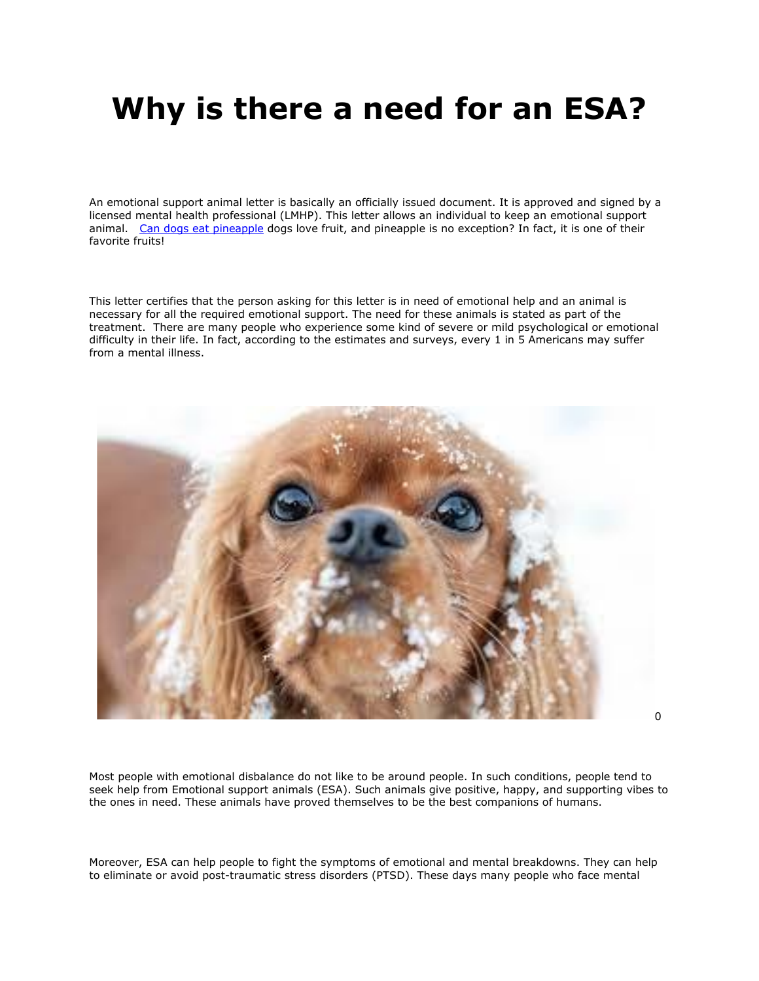## **Why is there a need for an ESA?**

An emotional support animal letter is basically an officially issued document. It is approved and signed by a licensed mental health professional (LMHP). This letter allows an individual to keep an emotional support animal. [Can dogs eat pineapple](https://www.realesaletter.com/blog/can-dogs-eat-pineapple) dogs love fruit, and pineapple is no exception? In fact, it is one of their favorite fruits!

This letter certifies that the person asking for this letter is in need of emotional help and an animal is necessary for all the required emotional support. The need for these animals is stated as part of the treatment. There are many people who experience some kind of severe or mild psychological or emotional difficulty in their life. In fact, according to the estimates and surveys, every 1 in 5 Americans may suffer from a mental illness.



 $\Omega$ 

Most people with emotional disbalance do not like to be around people. In such conditions, people tend to seek help from Emotional support animals (ESA). Such animals give positive, happy, and supporting vibes to the ones in need. These animals have proved themselves to be the best companions of humans.

Moreover, ESA can help people to fight the symptoms of emotional and mental breakdowns. They can help to eliminate or avoid post-traumatic stress disorders (PTSD). These days many people who face mental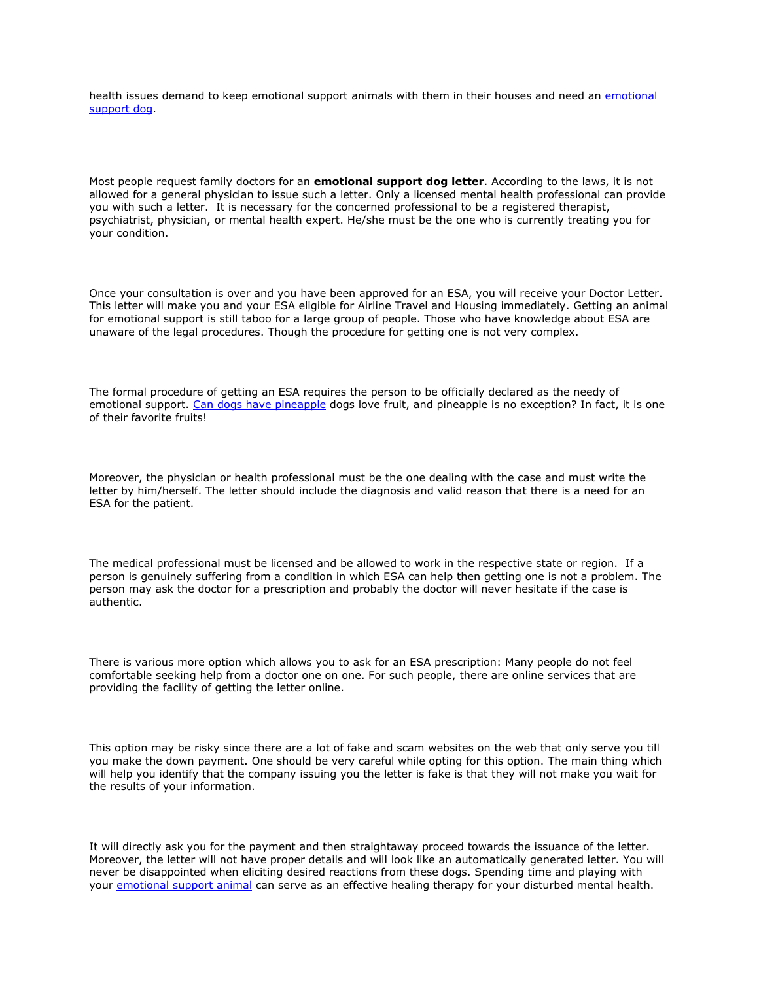health issues demand to keep emotional support animals with them in their houses and need an [emotional](https://www.realesaletter.com/blog/emotional-support-dog-training)  [support dog.](https://www.realesaletter.com/blog/emotional-support-dog-training)

Most people request family doctors for an **emotional support dog letter**. According to the laws, it is not allowed for a general physician to issue such a letter. Only a licensed mental health professional can provide you with such a letter. It is necessary for the concerned professional to be a registered therapist, psychiatrist, physician, or mental health expert. He/she must be the one who is currently treating you for your condition.

Once your consultation is over and you have been approved for an ESA, you will receive your Doctor Letter. This letter will make you and your ESA eligible for Airline Travel and Housing immediately. Getting an animal for emotional support is still taboo for a large group of people. Those who have knowledge about ESA are unaware of the legal procedures. Though the procedure for getting one is not very complex.

The formal procedure of getting an ESA requires the person to be officially declared as the needy of emotional support. [Can dogs have pineapple](https://www.realesaletter.com/blog/can-dogs-eat-pineapple) dogs love fruit, and pineapple is no exception? In fact, it is one of their favorite fruits!

Moreover, the physician or health professional must be the one dealing with the case and must write the letter by him/herself. The letter should include the diagnosis and valid reason that there is a need for an ESA for the patient.

The medical professional must be licensed and be allowed to work in the respective state or region. If a person is genuinely suffering from a condition in which ESA can help then getting one is not a problem. The person may ask the doctor for a prescription and probably the doctor will never hesitate if the case is authentic.

There is various more option which allows you to ask for an ESA prescription: Many people do not feel comfortable seeking help from a doctor one on one. For such people, there are online services that are providing the facility of getting the letter online.

This option may be risky since there are a lot of fake and scam websites on the web that only serve you till you make the down payment. One should be very careful while opting for this option. The main thing which will help you identify that the company issuing you the letter is fake is that they will not make you wait for the results of your information.

It will directly ask you for the payment and then straightaway proceed towards the issuance of the letter. Moreover, the letter will not have proper details and will look like an automatically generated letter. You will never be disappointed when eliciting desired reactions from these dogs. Spending time and playing with your [emotional support animal](https://www.realesaletter.com/sample-esa-letter) can serve as an effective healing therapy for your disturbed mental health.